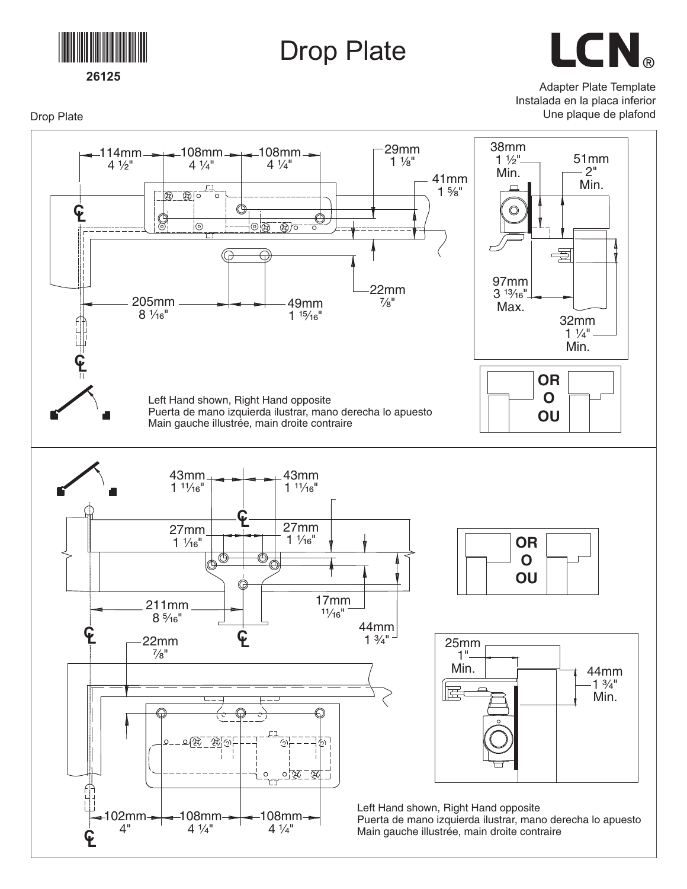

## Drop Plate

LCN®

Adapter Plate Template Instalada en la placa inferior

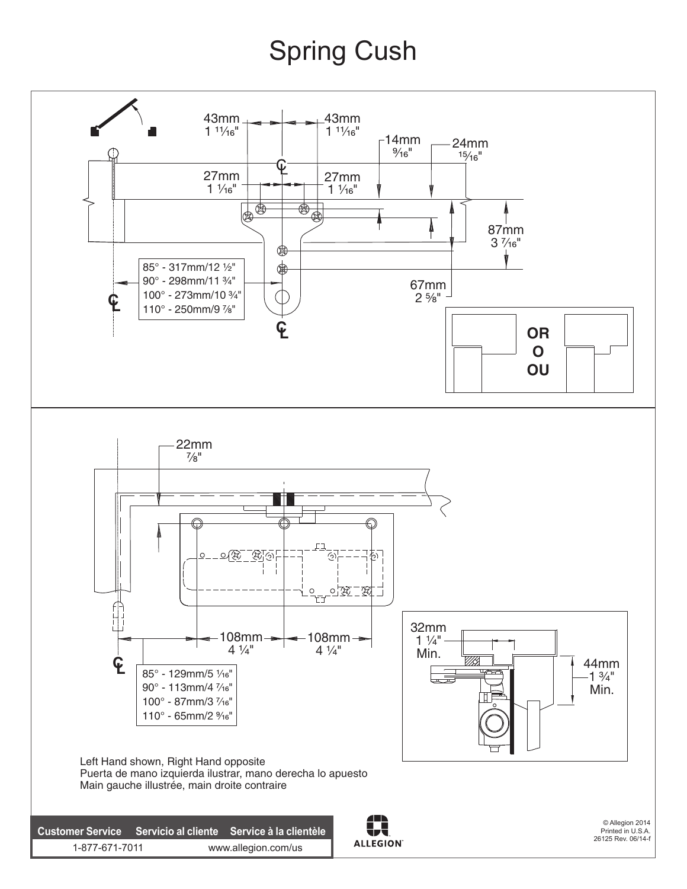## Spring Cush